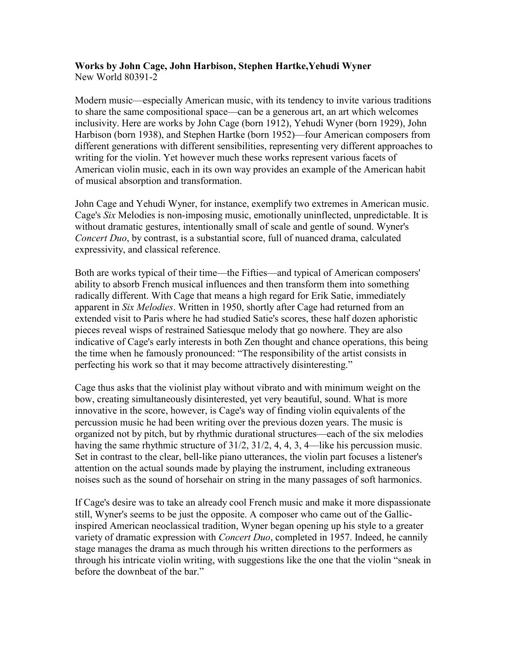### **Works by John Cage, John Harbison, Stephen Hartke,Yehudi Wyner**  New World 80391-2

Modern music—especially American music, with its tendency to invite various traditions to share the same compositional space—can be a generous art, an art which welcomes inclusivity. Here are works by John Cage (born 1912), Yehudi Wyner (born 1929), John Harbison (born 1938), and Stephen Hartke (born 1952)—four American composers from different generations with different sensibilities, representing very different approaches to writing for the violin. Yet however much these works represent various facets of American violin music, each in its own way provides an example of the American habit of musical absorption and transformation.

John Cage and Yehudi Wyner, for instance, exemplify two extremes in American music. Cage's *Six* Melodies is non-imposing music, emotionally uninflected, unpredictable. It is without dramatic gestures, intentionally small of scale and gentle of sound. Wyner's *Concert Duo*, by contrast, is a substantial score, full of nuanced drama, calculated expressivity, and classical reference.

Both are works typical of their time—the Fifties—and typical of American composers' ability to absorb French musical influences and then transform them into something radically different. With Cage that means a high regard for Erik Satie, immediately apparent in *Six Melodies*. Written in 1950, shortly after Cage had returned from an extended visit to Paris where he had studied Satie's scores, these half dozen aphoristic pieces reveal wisps of restrained Satiesque melody that go nowhere. They are also indicative of Cage's early interests in both Zen thought and chance operations, this being the time when he famously pronounced: "The responsibility of the artist consists in perfecting his work so that it may become attractively disinteresting."

Cage thus asks that the violinist play without vibrato and with minimum weight on the bow, creating simultaneously disinterested, yet very beautiful, sound. What is more innovative in the score, however, is Cage's way of finding violin equivalents of the percussion music he had been writing over the previous dozen years. The music is organized not by pitch, but by rhythmic durational structures—each of the six melodies having the same rhythmic structure of 31/2, 31/2, 4, 4, 3, 4—like his percussion music. Set in contrast to the clear, bell-like piano utterances, the violin part focuses a listener's attention on the actual sounds made by playing the instrument, including extraneous noises such as the sound of horsehair on string in the many passages of soft harmonics.

If Cage's desire was to take an already cool French music and make it more dispassionate still, Wyner's seems to be just the opposite. A composer who came out of the Gallicinspired American neoclassical tradition, Wyner began opening up his style to a greater variety of dramatic expression with *Concert Duo*, completed in 1957. Indeed, he cannily stage manages the drama as much through his written directions to the performers as through his intricate violin writing, with suggestions like the one that the violin "sneak in before the downbeat of the bar."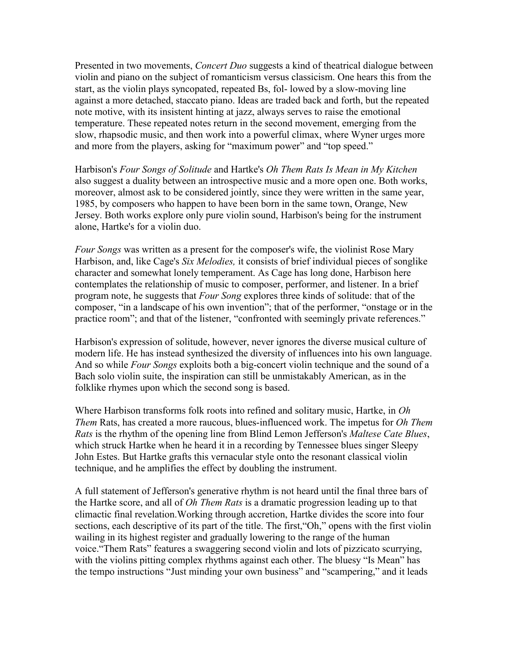Presented in two movements, *Concert Duo* suggests a kind of theatrical dialogue between violin and piano on the subject of romanticism versus classicism. One hears this from the start, as the violin plays syncopated, repeated Bs, fol- lowed by a slow-moving line against a more detached, staccato piano. Ideas are traded back and forth, but the repeated note motive, with its insistent hinting at jazz, always serves to raise the emotional temperature. These repeated notes return in the second movement, emerging from the slow, rhapsodic music, and then work into a powerful climax, where Wyner urges more and more from the players, asking for "maximum power" and "top speed."

Harbison's *Four Songs of Solitude* and Hartke's *Oh Them Rats Is Mean in My Kitchen* also suggest a duality between an introspective music and a more open one. Both works, moreover, almost ask to be considered jointly, since they were written in the same year, 1985, by composers who happen to have been born in the same town, Orange, New Jersey. Both works explore only pure violin sound, Harbison's being for the instrument alone, Hartke's for a violin duo.

*Four Songs* was written as a present for the composer's wife, the violinist Rose Mary Harbison, and, like Cage's *Six Melodies,* it consists of brief individual pieces of songlike character and somewhat lonely temperament. As Cage has long done, Harbison here contemplates the relationship of music to composer, performer, and listener. In a brief program note, he suggests that *Four Song* explores three kinds of solitude: that of the composer, "in a landscape of his own invention"; that of the performer, "onstage or in the practice room"; and that of the listener, "confronted with seemingly private references."

Harbison's expression of solitude, however, never ignores the diverse musical culture of modern life. He has instead synthesized the diversity of influences into his own language. And so while *Four Songs* exploits both a big-concert violin technique and the sound of a Bach solo violin suite, the inspiration can still be unmistakably American, as in the folklike rhymes upon which the second song is based.

Where Harbison transforms folk roots into refined and solitary music, Hartke, in *Oh Them* Rats, has created a more raucous, blues-influenced work. The impetus for *Oh Them Rats* is the rhythm of the opening line from Blind Lemon Jefferson's *Maltese Cate Blues*, which struck Hartke when he heard it in a recording by Tennessee blues singer Sleepy John Estes. But Hartke grafts this vernacular style onto the resonant classical violin technique, and he amplifies the effect by doubling the instrument.

A full statement of Jefferson's generative rhythm is not heard until the final three bars of the Hartke score, and all of *Oh Them Rats* is a dramatic progression leading up to that climactic final revelation.Working through accretion, Hartke divides the score into four sections, each descriptive of its part of the title. The first, "Oh," opens with the first violin wailing in its highest register and gradually lowering to the range of the human voice."Them Rats" features a swaggering second violin and lots of pizzicato scurrying, with the violins pitting complex rhythms against each other. The bluesy "Is Mean" has the tempo instructions "Just minding your own business" and "scampering," and it leads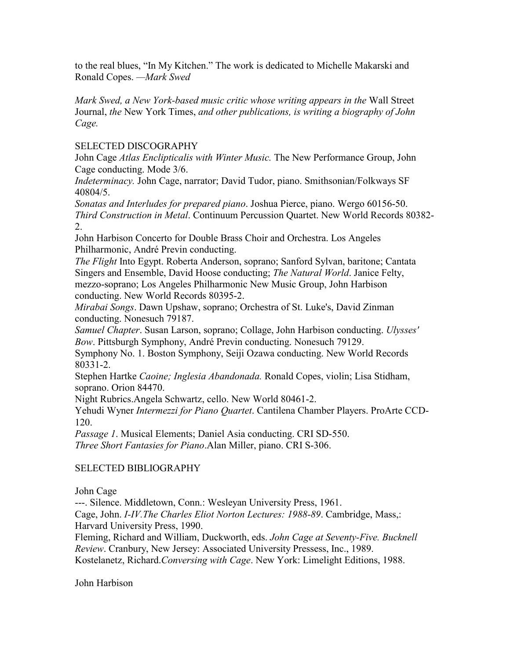to the real blues, "In My Kitchen." The work is dedicated to Michelle Makarski and Ronald Copes. *—Mark Swed*

*Mark Swed, a New York-based music critic whose writing appears in the* Wall Street Journal, *the* New York Times, *and other publications, is writing a biography of John Cage.*

### SELECTED DISCOGRAPHY

John Cage *Atlas Enclipticalis with Winter Music.* The New Performance Group, John Cage conducting. Mode 3/6.

*Indeterminacy.* John Cage, narrator; David Tudor, piano. Smithsonian/Folkways SF 40804/5.

*Sonatas and Interludes for prepared piano*. Joshua Pierce, piano. Wergo 60156-50. *Third Construction in Metal*. Continuum Percussion Quartet. New World Records 80382- 2.

John Harbison Concerto for Double Brass Choir and Orchestra. Los Angeles Philharmonic, André Previn conducting.

*The Flight* Into Egypt. Roberta Anderson, soprano; Sanford Sylvan, baritone; Cantata Singers and Ensemble, David Hoose conducting; *The Natural World*. Janice Felty, mezzo-soprano; Los Angeles Philharmonic New Music Group, John Harbison conducting. New World Records 80395-2.

*Mirabai Songs*. Dawn Upshaw, soprano; Orchestra of St. Luke's, David Zinman conducting. Nonesuch 79187.

*Samuel Chapter*. Susan Larson, soprano; Collage, John Harbison conducting. *Ulysses' Bow*. Pittsburgh Symphony, André Previn conducting. Nonesuch 79129.

Symphony No. 1. Boston Symphony, Seiji Ozawa conducting. New World Records 80331-2.

Stephen Hartke *Caoine; Inglesia Abandonada.* Ronald Copes, violin; Lisa Stidham, soprano. Orion 84470.

Night Rubrics.Angela Schwartz, cello. New World 80461-2.

Yehudi Wyner *Intermezzi for Piano Quartet*. Cantilena Chamber Players. ProArte CCD-120.

*Passage 1*. Musical Elements; Daniel Asia conducting. CRI SD-550. *Three Short Fantasies for Piano*.Alan Miller, piano. CRI S-306.

# SELECTED BIBLIOGRAPHY

# John Cage

---. Silence. Middletown, Conn.: Wesleyan University Press, 1961.

Cage, John. *I-IV.The Charles Eliot Norton Lectures: 1988-89*. Cambridge, Mass,: Harvard University Press, 1990.

Fleming, Richard and William, Duckworth, eds. *John Cage at Seventy-Five. Bucknell Review*. Cranbury, New Jersey: Associated University Pressess, Inc., 1989.

Kostelanetz, Richard.*Conversing with Cage*. New York: Limelight Editions, 1988.

John Harbison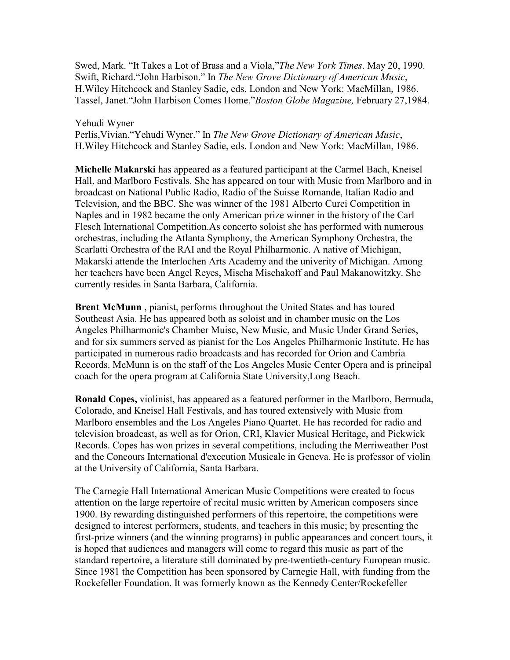Swed, Mark. "It Takes a Lot of Brass and a Viola,"*The New York Times*. May 20, 1990. Swift, Richard."John Harbison." In *The New Grove Dictionary of American Music*, H.Wiley Hitchcock and Stanley Sadie, eds. London and New York: MacMillan, 1986. Tassel, Janet."John Harbison Comes Home."*Boston Globe Magazine,* February 27,1984.

#### Yehudi Wyner

Perlis,Vivian."Yehudi Wyner." In *The New Grove Dictionary of American Music*, H.Wiley Hitchcock and Stanley Sadie, eds. London and New York: MacMillan, 1986.

**Michelle Makarski** has appeared as a featured participant at the Carmel Bach, Kneisel Hall, and Marlboro Festivals. She has appeared on tour with Music from Marlboro and in broadcast on National Public Radio, Radio of the Suisse Romande, Italian Radio and Television, and the BBC. She was winner of the 1981 Alberto Curci Competition in Naples and in 1982 became the only American prize winner in the history of the Carl Flesch International Competition.As concerto soloist she has performed with numerous orchestras, including the Atlanta Symphony, the American Symphony Orchestra, the Scarlatti Orchestra of the RAI and the Royal Philharmonic. A native of Michigan, Makarski attende the Interlochen Arts Academy and the univerity of Michigan. Among her teachers have been Angel Reyes, Mischa Mischakoff and Paul Makanowitzky. She currently resides in Santa Barbara, California.

**Brent McMunn** , pianist, performs throughout the United States and has toured Southeast Asia. He has appeared both as soloist and in chamber music on the Los Angeles Philharmonic's Chamber Muisc, New Music, and Music Under Grand Series, and for six summers served as pianist for the Los Angeles Philharmonic Institute. He has participated in numerous radio broadcasts and has recorded for Orion and Cambria Records. McMunn is on the staff of the Los Angeles Music Center Opera and is principal coach for the opera program at California State University,Long Beach.

**Ronald Copes,** violinist, has appeared as a featured performer in the Marlboro, Bermuda, Colorado, and Kneisel Hall Festivals, and has toured extensively with Music from Marlboro ensembles and the Los Angeles Piano Quartet. He has recorded for radio and television broadcast, as well as for Orion, CRI, Klavier Musical Heritage, and Pickwick Records. Copes has won prizes in several competitions, including the Merriweather Post and the Concours International d'execution Musicale in Geneva. He is professor of violin at the University of California, Santa Barbara.

The Carnegie Hall International American Music Competitions were created to focus attention on the large repertoire of recital music written by American composers since 1900. By rewarding distinguished performers of this repertoire, the competitions were designed to interest performers, students, and teachers in this music; by presenting the first-prize winners (and the winning programs) in public appearances and concert tours, it is hoped that audiences and managers will come to regard this music as part of the standard repertoire, a literature still dominated by pre-twentieth-century European music. Since 1981 the Competition has been sponsored by Carnegie Hall, with funding from the Rockefeller Foundation. It was formerly known as the Kennedy Center/Rockefeller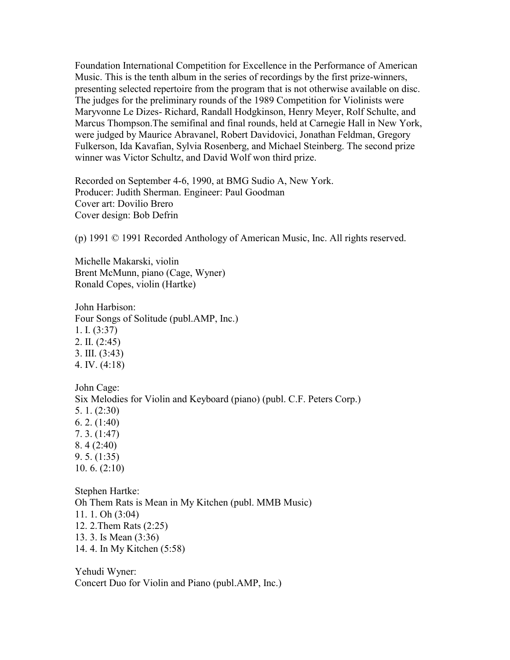Foundation International Competition for Excellence in the Performance of American Music. This is the tenth album in the series of recordings by the first prize-winners, presenting selected repertoire from the program that is not otherwise available on disc. The judges for the preliminary rounds of the 1989 Competition for Violinists were Maryvonne Le Dizes- Richard, Randall Hodgkinson, Henry Meyer, Rolf Schulte, and Marcus Thompson.The semifinal and final rounds, held at Carnegie Hall in New York, were judged by Maurice Abravanel, Robert Davidovici, Jonathan Feldman, Gregory Fulkerson, Ida Kavafian, Sylvia Rosenberg, and Michael Steinberg. The second prize winner was Victor Schultz, and David Wolf won third prize.

Recorded on September 4-6, 1990, at BMG Sudio A, New York. Producer: Judith Sherman. Engineer: Paul Goodman Cover art: Dovilio Brero Cover design: Bob Defrin

(p) 1991 © 1991 Recorded Anthology of American Music, Inc. All rights reserved.

Michelle Makarski, violin Brent McMunn, piano (Cage, Wyner) Ronald Copes, violin (Hartke)

John Harbison: Four Songs of Solitude (publ.AMP, Inc.) 1. I. (3:37) 2. II. (2:45) 3. III. (3:43) 4. IV. (4:18)

John Cage: Six Melodies for Violin and Keyboard (piano) (publ. C.F. Peters Corp.) 5. 1. (2:30) 6. 2. (1:40) 7. 3. (1:47) 8. 4 (2:40) 9. 5. (1:35) 10. 6. (2:10)

Stephen Hartke: Oh Them Rats is Mean in My Kitchen (publ. MMB Music) 11. 1. Oh (3:04) 12. 2.Them Rats (2:25) 13. 3. Is Mean (3:36) 14. 4. In My Kitchen (5:58)

Yehudi Wyner: Concert Duo for Violin and Piano (publ.AMP, Inc.)